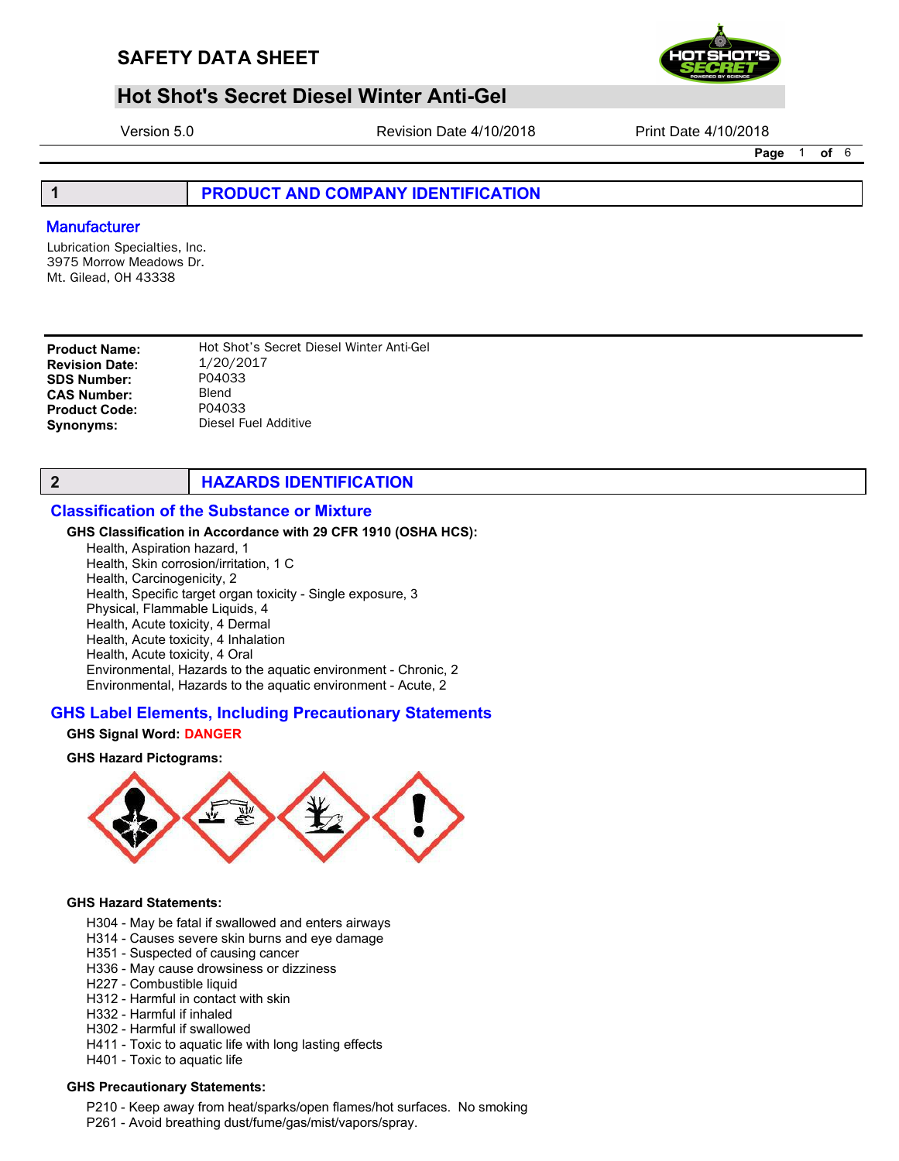

# **Hot Shot's Secret Diesel Winter Anti-Gel**

Version 5.0 Revision Date 4/10/2018 Print Date 4/10/2018

Page 1 of 6

## 1 **PRODUCT AND COMPANY IDENTIFICATION**

## **Manufacturer**

Lubrication Specialties, Inc. 3975 Morrow Meadows Dr. Mt. Gilead, OH 43338

**Product Name:** Hot Shot's Secret Diesel Winter Anti-Gel<br> **Revision Date:** 1/20/2017 Revision Date:  $1/20/20$ <br>SDS Number: P04033 **SDS Number:** P0403<br>CAS Number: Blend CAS Number: Blend<br>Product Code: P04033 **Product Code:** Synonyms: Diesel Fuel Additive

## **2 HAZARDS IDENTIFICATION**

## Classification of the Substance or Mixture

#### GHS Classification in Accordance with 29 CFR 1910 (OSHA HCS):

Health, Aspiration hazard, 1 Health, Skin corrosion/irritation, 1 C Health, Carcinogenicity, 2 Health, Specific target organ toxicity - Single exposure, 3 Physical, Flammable Liquids, 4 Health, Acute toxicity, 4 Dermal Health, Acute toxicity, 4 Inhalation Health, Acute toxicity, 4 Oral Environmental, Hazards to the aquatic environment - Chronic, 2 Environmental, Hazards to the aquatic environment - Acute, 2

#### GHS Label Elements, Including Precautionary Statements

#### GHS Signal Word: DANGER

#### GHS Hazard Pictograms:



#### GHS Hazard Statements:

- H304 May be fatal if swallowed and enters airways
- H314 Causes severe skin burns and eye damage
- H351 Suspected of causing cancer
- H336 May cause drowsiness or dizziness
- H227 Combustible liquid
- H312 Harmful in contact with skin
- H332 Harmful if inhaled
- H302 Harmful if swallowed
- H411 Toxic to aquatic life with long lasting effects
- H401 Toxic to aquatic life

#### GHS Precautionary Statements:

- P210 Keep away from heat/sparks/open flames/hot surfaces. No smoking
- P261 Avoid breathing dust/fume/gas/mist/vapors/spray.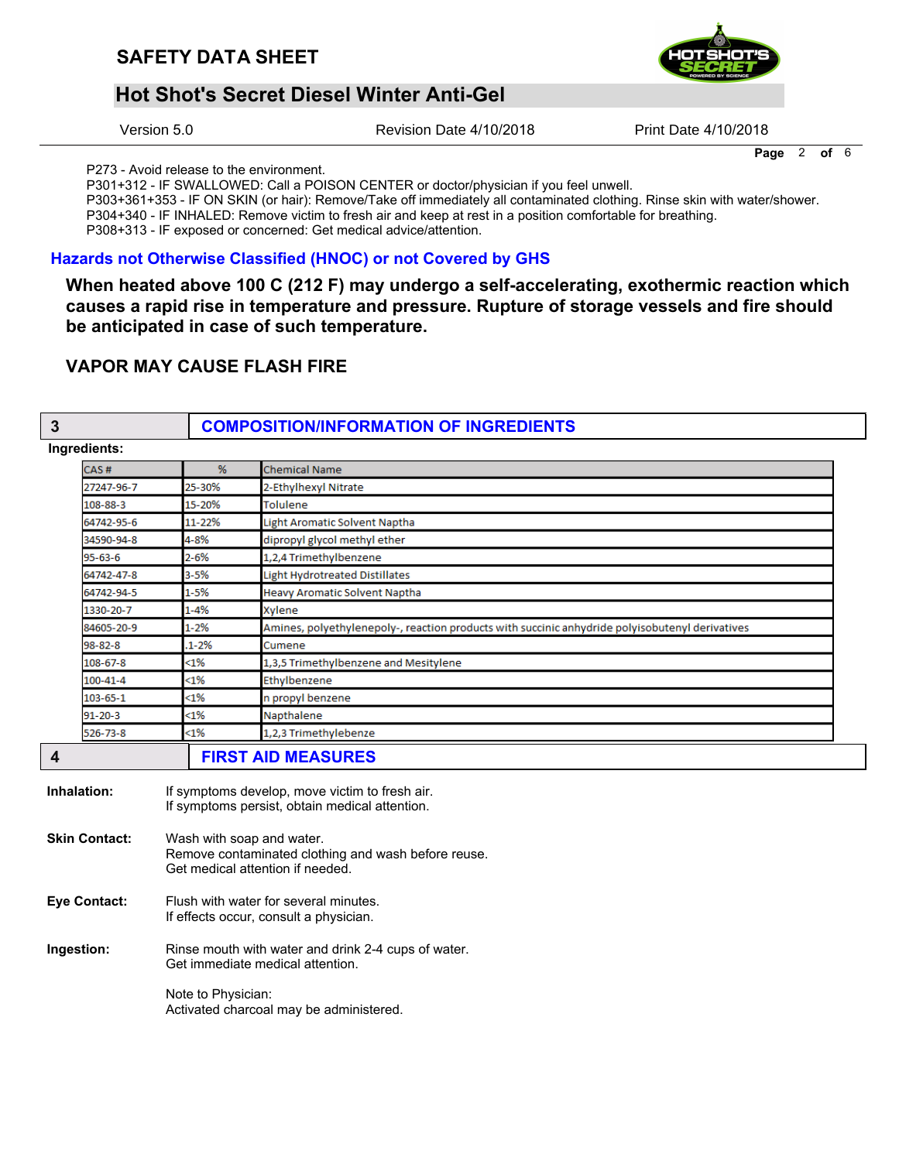

## **Hot Shot's Secret Diesel Winter Anti-Gel**

Version 5.0

Revision Date 4/10/2018

Print Date 4/10/2018

Page  $2$  of  $6$ 

P273 - Avoid release to the environment.

P301+312 - IF SWALLOWED: Call a POISON CENTER or doctor/physician if you feel unwell.

P303+361+353 - IF ON SKIN (or hair): Remove/Take off immediately all contaminated clothing. Rinse skin with water/shower.

P304+340 - IF INHALED: Remove victim to fresh air and keep at rest in a position comfortable for breathing.

P308+313 - IF exposed or concerned: Get medical advice/attention.

## Hazards not Otherwise Classified (HNOC) or not Covered by GHS

When heated above 100 C (212 F) may undergo a self-accelerating, exothermic reaction which causes a rapid rise in temperature and pressure. Rupture of storage vessels and fire should be anticipated in case of such temperature.

## **VAPOR MAY CAUSE FLASH FIRE**

#### $\overline{3}$

## **COMPOSITION/INFORMATION OF INGREDIENTS**

#### Ingredients

| CAS#           | %        | <b>Chemical Name</b>                                                                            |
|----------------|----------|-------------------------------------------------------------------------------------------------|
| 27247-96-7     | 25-30%   | 2-Ethylhexyl Nitrate                                                                            |
| 108-88-3       | 15-20%   | <b>Tolulene</b>                                                                                 |
| 64742-95-6     | 11-22%   | Light Aromatic Solvent Naptha                                                                   |
| 34590-94-8     | 4-8%     | dipropyl glycol methyl ether                                                                    |
| 95-63-6        | 2-6%     | 1,2,4 Trimethylbenzene                                                                          |
| 64742-47-8     | $3 - 5%$ | <b>Light Hydrotreated Distillates</b>                                                           |
| 64742-94-5     | 1-5%     | <b>Heavy Aromatic Solvent Naptha</b>                                                            |
| 1330-20-7      | 1-4%     | Xylene                                                                                          |
| 84605-20-9     | 1-2%     | Amines, polyethylenepoly-, reaction products with succinic anhydride polyisobutenyl derivatives |
| 98-82-8        | $1 - 2%$ | Cumene                                                                                          |
| 108-67-8       | <1%      | 1,3,5 Trimethylbenzene and Mesitylene                                                           |
| 100-41-4       | <1%      | Ethylbenzene                                                                                    |
| $103 - 65 - 1$ | $<$ 1%   | n propyl benzene                                                                                |
| 91-20-3        | <1%      | Napthalene                                                                                      |
| 526-73-8       | <1%      | 1,2,3 Trimethylebenze                                                                           |
|                |          | <b>FIRST AID MEASURES</b>                                                                       |

- Inhalation: If symptoms develop, move victim to fresh air. If symptoms persist, obtain medical attention. **Skin Contact:** Wash with soap and water.
- Remove contaminated clothing and wash before reuse. Get medical attention if needed.
- **Eye Contact:** Flush with water for several minutes. If effects occur, consult a physician.
- Rinse mouth with water and drink 2-4 cups of water. Ingestion: Get immediate medical attention.

Note to Physician: Activated charcoal may be administered.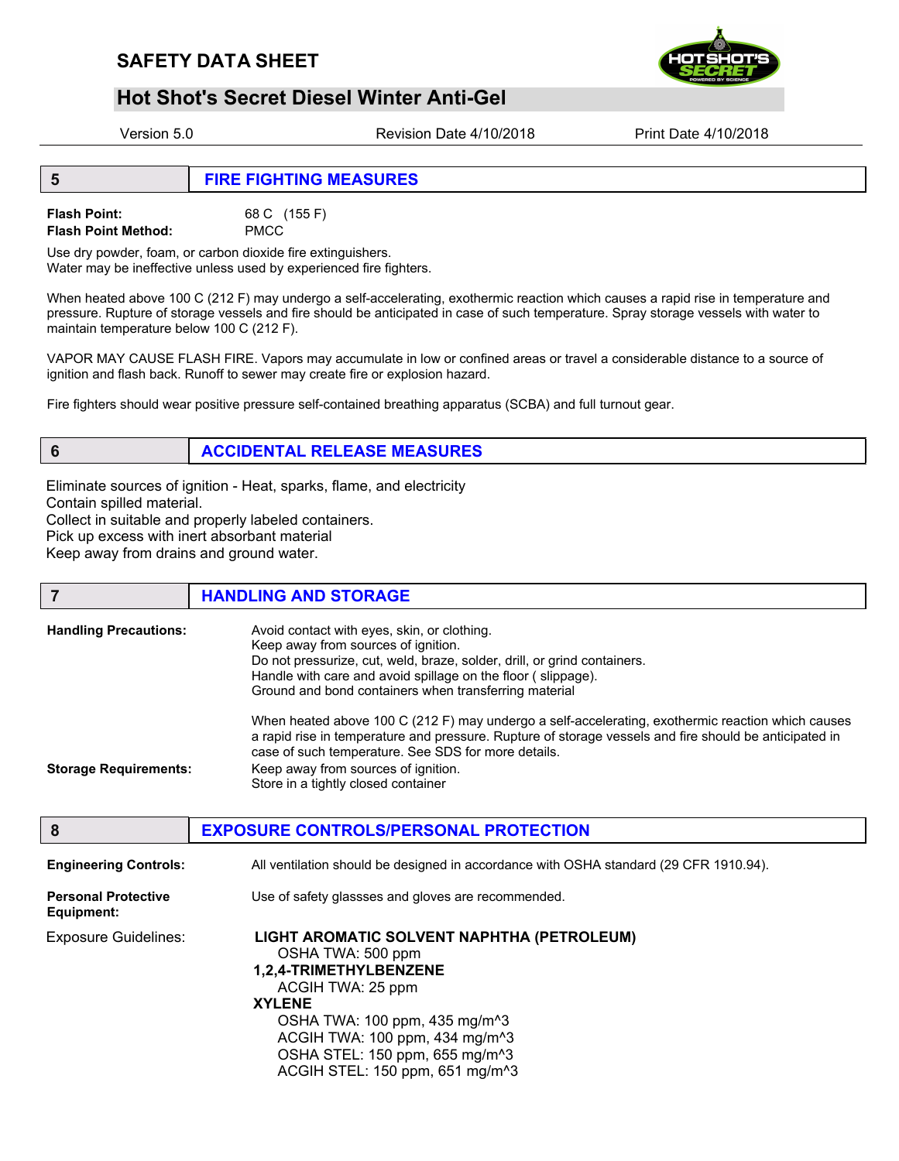

# **Hot Shot's Secret Diesel Winter Anti-Gel**

Version 5.0 Revision Date 4/10/2018 Print Date 4/10/2018

Flash Point: 68 C (155 F) Flash Point Method: PMCC

Use dry powder, foam, or carbon dioxide fire extinguishers. Water may be ineffective unless used by experienced fire fighters.

When heated above 100 C (212 F) may undergo a self-accelerating, exothermic reaction which causes a rapid rise in temperature and pressure. Rupture of storage vessels and fire should be anticipated in case of such temperature. Spray storage vessels with water to maintain temperature below 100 C (212 F).

VAPOR MAY CAUSE FLASH FIRE. Vapors may accumulate in low or confined areas or travel a considerable distance to a source of ignition and flash back. Runoff to sewer may create fire or explosion hazard.

Fire fighters should wear positive pressure self-contained breathing apparatus (SCBA) and full turnout gear.

## 6 ACCIDENTAL RELEASE MEASURES

Eliminate sources of ignition - Heat, sparks, flame, and electricity Contain spilled material. Collect in suitable and properly labeled containers. Pick up excess with inert absorbant material Keep away from drains and ground water.

#### **7 HANDLING AND STORAGE**

| <b>Handling Precautions:</b> | Avoid contact with eyes, skin, or clothing.<br>Keep away from sources of ignition.<br>Do not pressurize, cut, weld, braze, solder, drill, or grind containers.<br>Handle with care and avoid spillage on the floor (slippage).<br>Ground and bond containers when transferring material                                                          |
|------------------------------|--------------------------------------------------------------------------------------------------------------------------------------------------------------------------------------------------------------------------------------------------------------------------------------------------------------------------------------------------|
| <b>Storage Requirements:</b> | When heated above 100 C (212 F) may undergo a self-accelerating, exothermic reaction which causes<br>a rapid rise in temperature and pressure. Rupture of storage vessels and fire should be anticipated in<br>case of such temperature. See SDS for more details.<br>Keep away from sources of ignition.<br>Store in a tightly closed container |

| 8                                        | <b>EXPOSURE CONTROLS/PERSONAL PROTECTION</b>                                                                                                                                                                                                                                                                |
|------------------------------------------|-------------------------------------------------------------------------------------------------------------------------------------------------------------------------------------------------------------------------------------------------------------------------------------------------------------|
| <b>Engineering Controls:</b>             | All ventilation should be designed in accordance with OSHA standard (29 CFR 1910.94).                                                                                                                                                                                                                       |
| <b>Personal Protective</b><br>Equipment: | Use of safety glassses and gloves are recommended.                                                                                                                                                                                                                                                          |
| <b>Exposure Guidelines:</b>              | LIGHT AROMATIC SOLVENT NAPHTHA (PETROLEUM)<br>OSHA TWA: 500 ppm<br>1,2,4-TRIMETHYLBENZENE<br>ACGIH TWA: 25 ppm<br><b>XYLENE</b><br>OSHA TWA: 100 ppm, 435 mg/m <sup>^3</sup><br>ACGIH TWA: 100 ppm, 434 mg/m <sup>^3</sup><br>OSHA STEL: 150 ppm, 655 mg/m^3<br>ACGIH STEL: 150 ppm, 651 mg/m <sup>^3</sup> |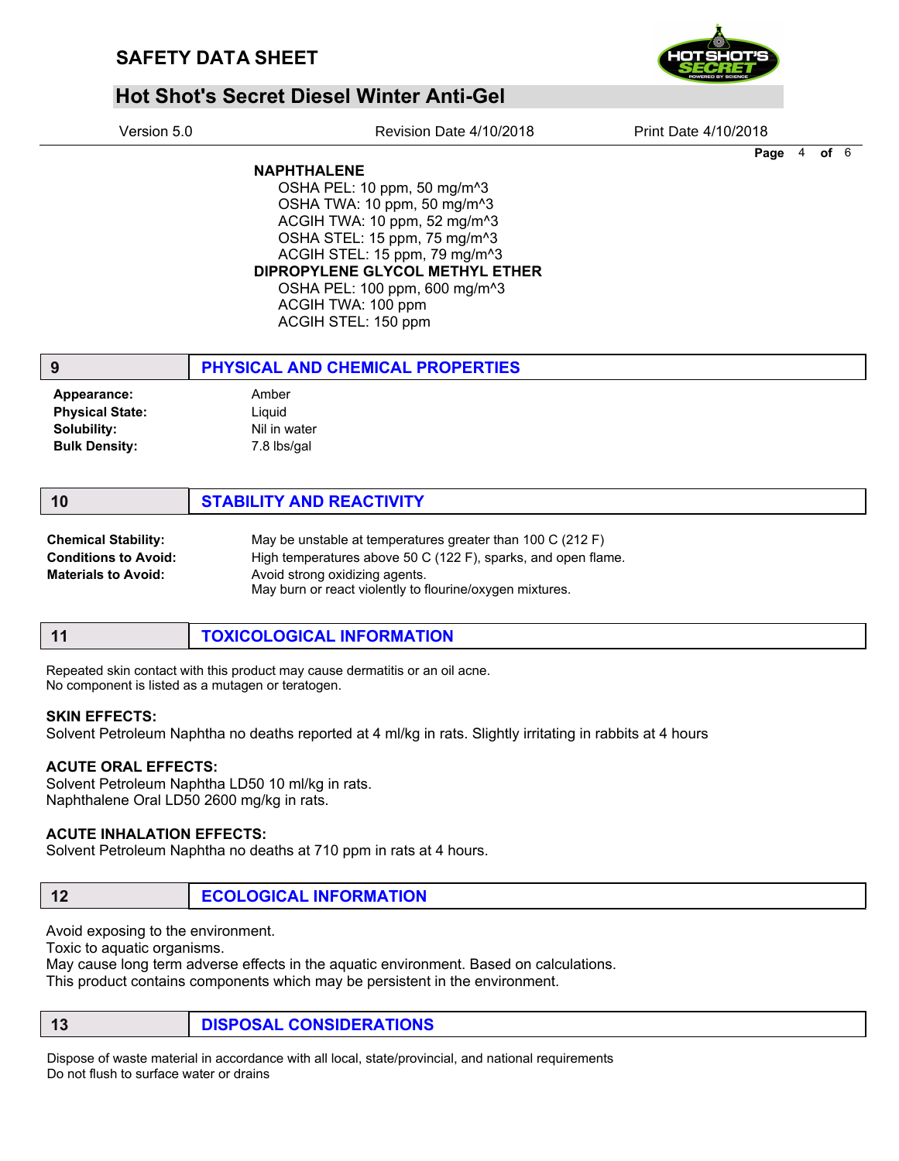

# **Hot Shot's Secret Diesel Winter Anti-Gel**

| Version 5.0 |  |
|-------------|--|
|             |  |

Revision Date 4/10/2018 Print Date 4/10/2018

Page 4 of 6

## NAPHTHALENE

OSHA PEL: 10 ppm, 50 mg/m^3 OSHA TWA: 10 ppm, 50 mg/m^3 ACGIH TWA: 10 ppm, 52 mg/m^3 OSHA STEL: 15 ppm, 75 mg/m^3 ACGIH STEL: 15 ppm, 79 mg/m^3 DIPROPYLENE GLYCOL METHYL ETHER OSHA PEL: 100 ppm, 600 mg/m^3 ACGIH TWA: 100 ppm ACGIH STEL: 150 ppm

| 9                      | PHYSICAL AND CHEMICAL PROPERTIES |
|------------------------|----------------------------------|
| Appearance:            | Amber                            |
| <b>Physical State:</b> | Liguid                           |
| Solubility:            | Nil in water                     |
| <b>Bulk Density:</b>   | 7.8 lbs/gal                      |
|                        |                                  |

| <b>Chemical Stability:</b> | May be unstable at temperatures greater than 100 C (212 F)                                 |
|----------------------------|--------------------------------------------------------------------------------------------|
| Conditions to Avoid:       | High temperatures above 50 C (122 F), sparks, and open flame.                              |
| <b>Materials to Avoid:</b> | Avoid strong oxidizing agents.<br>May burn or react violently to flourine/oxygen mixtures. |

| -11 | TOXICOLOGICAL INFORMATION |  |
|-----|---------------------------|--|
|     |                           |  |

Repeated skin contact with this product may cause dermatitis or an oil acne. No component is listed as a mutagen or teratogen.

#### SKIN EFFECTS:

Solvent Petroleum Naphtha no deaths reported at 4 ml/kg in rats. Slightly irritating in rabbits at 4 hours

## ACUTE ORAL EFFECTS:

Solvent Petroleum Naphtha LD50 10 ml/kg in rats. Naphthalene Oral LD50 2600 mg/kg in rats.

## ACUTE INHALATION EFFECTS:

Solvent Petroleum Naphtha no deaths at 710 ppm in rats at 4 hours.

# 12 **ECOLOGICAL INFORMATION**

Avoid exposing to the environment.

Toxic to aquatic organisms.

May cause long term adverse effects in the aquatic environment. Based on calculations. This product contains components which may be persistent in the environment.

13 **DISPOSAL CONSIDERATIONS** 

Dispose of waste material in accordance with all local, state/provincial, and national requirements Do not flush to surface water or drains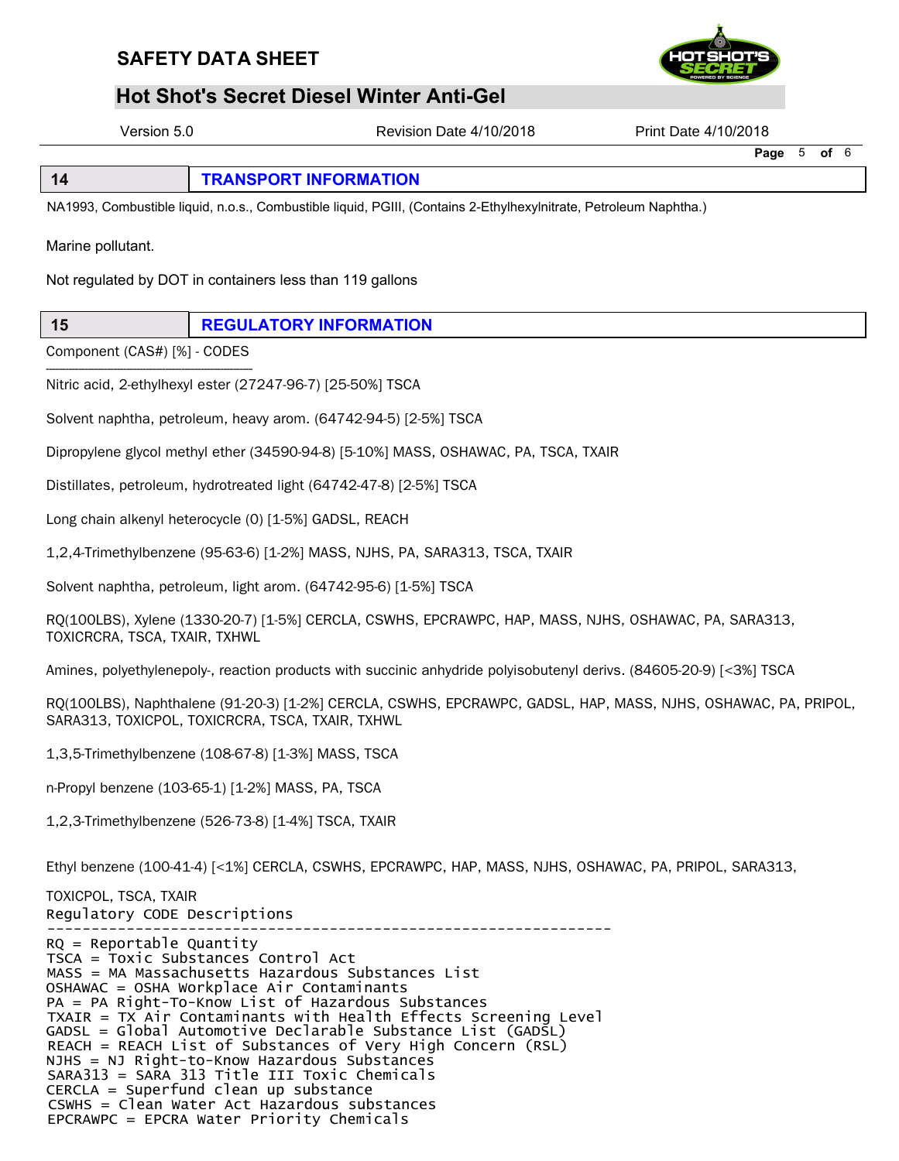

# فر<br>BAFETY DATA SHEET<br>Hot Shot's Secret Diesel Winter Anti-Gel<br>Nexsion 5.0 **Hot Shot's Secret Diesel Winter Anti-Gel**

Version 5.0 Revision Date 4/10/2018 Print Date 4/10/2018

Page 5 of 6

| $\sqrt{14}$ | <b>TRANSPORT INFORMATION</b> |
|-------------|------------------------------|
|-------------|------------------------------|

NA1993, Combustible liquid, n.o.s., Combustible liquid, PGIII, (Contains 2-Ethylhexylnitrate, Petroleum Naphtha.)

Marine pollutant.

Not regulated by DOT in containers less than 119 gallons

15 REGULATORY INFORMATION

---------------------------------------------------------------- Component (CAS#) [%] - CODES

Nitric acid, 2-ethylhexyl ester (27247-96-7) [25-50%] TSCA

Solvent naphtha, petroleum, heavy arom. (64742-94-5) [2-5%] TSCA

Dipropylene glycol methyl ether (34590-94-8) [5-10%] MASS, OSHAWAC, PA, TSCA, TXAIR

Distillates, petroleum, hydrotreated light (64742-47-8) [2-5%] TSCA

Long chain alkenyl heterocycle (0) [1-5%] GADSL, REACH

1,2,4-Trimethylbenzene (95-63-6) [1-2%] MASS, NJHS, PA, SARA313, TSCA, TXAIR

Solvent naphtha, petroleum, light arom. (64742-95-6) [1-5%] TSCA

RQ(100LBS), Xylene (1330-20-7) [1-5%] CERCLA, CSWHS, EPCRAWPC, HAP, MASS, NJHS, OSHAWAC, PA, SARA313, TOXICRCRA, TSCA, TXAIR, TXHWL

Amines, polyethylenepoly-, reaction products with succinic anhydride polyisobutenyl derivs. (84605-20-9) [<3%] TSCA

RQ(100LBS), Naphthalene (91-20-3) [1-2%] CERCLA, CSWHS, EPCRAWPC, GADSL, HAP, MASS, NJHS, OSHAWAC, PA, PRIPOL, SARA313, TOXICPOL, TOXICRCRA, TSCA, TXAIR, TXHWL

1,3,5-Trimethylbenzene (108-67-8) [1-3%] MASS, TSCA

n-Propyl benzene (103-65-1) [1-2%] MASS, PA, TSCA

1,2,3-Trimethylbenzene (526-73-8) [1-4%] TSCA, TXAIR

Ethyl benzene (100-41-4) [<1%] CERCLA, CSWHS, EPCRAWPC, HAP, MASS, NJHS, OSHAWAC, PA, PRIPOL, SARA313,

---------------------------------------------------------------- TOXICPOL, TSCA, TXAIR Regulatory CODE Descriptions RQ = Reportable Quantity TSCA = Toxic Substances Control Act MASS = MA Massachusetts Hazardous Substances List OSHAWAC = OSHA Workplace Air Contaminants PA = PA Right-To-Know List of Hazardous Substances TXAIR = TX Air Contaminants with Health Effects Screening Level GADSL = Global Automotive Declarable Substance List (GADSL) REACH = REACH List of Substances of Very High Concern (RSL) NJHS = NJ Right-to-Know Hazardous Substances SARA313 = SARA 313 Title III Toxic Chemicals CERCLA = Superfund clean up substance CSWHS = Clean Water Act Hazardous substances EPCRAWPC = EPCRA Water Priority Chemicals